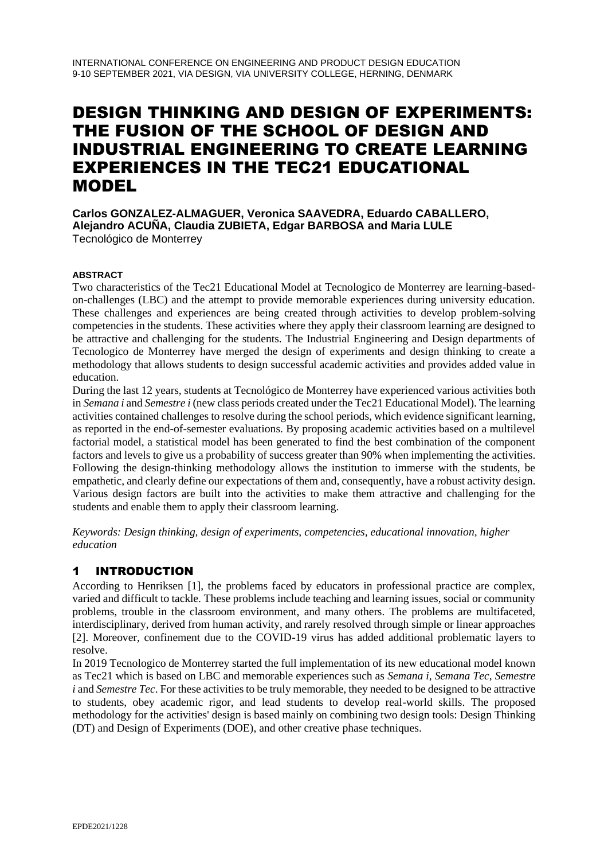# DESIGN THINKING AND DESIGN OF EXPERIMENTS: THE FUSION OF THE SCHOOL OF DESIGN AND INDUSTRIAL ENGINEERING TO CREATE LEARNING EXPERIENCES IN THE TEC21 EDUCATIONAL MODEL

**Carlos GONZALEZ-ALMAGUER, Veronica SAAVEDRA, Eduardo CABALLERO, Alejandro ACUÑA, Claudia ZUBIETA, Edgar BARBOSA and Maria LULE** Tecnológico de Monterrey

#### **ABSTRACT**

Two characteristics of the Tec21 Educational Model at Tecnologico de Monterrey are learning-basedon-challenges (LBC) and the attempt to provide memorable experiences during university education. These challenges and experiences are being created through activities to develop problem-solving competencies in the students. These activities where they apply their classroom learning are designed to be attractive and challenging for the students. The Industrial Engineering and Design departments of Tecnologico de Monterrey have merged the design of experiments and design thinking to create a methodology that allows students to design successful academic activities and provides added value in education.

During the last 12 years, students at Tecnológico de Monterrey have experienced various activities both in *Semana i* and *Semestre i* (new class periods created under the Tec21 Educational Model). The learning activities contained challenges to resolve during the school periods, which evidence significant learning, as reported in the end-of-semester evaluations. By proposing academic activities based on a multilevel factorial model, a statistical model has been generated to find the best combination of the component factors and levels to give us a probability of success greater than 90% when implementing the activities. Following the design-thinking methodology allows the institution to immerse with the students, be empathetic, and clearly define our expectations of them and, consequently, have a robust activity design. Various design factors are built into the activities to make them attractive and challenging for the students and enable them to apply their classroom learning.

*Keywords: Design thinking, design of experiments, competencies, educational innovation, higher education*

## 1 INTRODUCTION

According to Henriksen [1], the problems faced by educators in professional practice are complex, varied and difficult to tackle. These problems include teaching and learning issues, social or community problems, trouble in the classroom environment, and many others. The problems are multifaceted, interdisciplinary, derived from human activity, and rarely resolved through simple or linear approaches [2]. Moreover, confinement due to the COVID-19 virus has added additional problematic layers to resolve.

In 2019 Tecnologico de Monterrey started the full implementation of its new educational model known as Tec21 which is based on LBC and memorable experiences such as *Semana i*, *Semana Tec*, *Semestre i* and *Semestre Tec*. For these activities to be truly memorable, they needed to be designed to be attractive to students, obey academic rigor, and lead students to develop real-world skills. The proposed methodology for the activities' design is based mainly on combining two design tools: Design Thinking (DT) and Design of Experiments (DOE), and other creative phase techniques.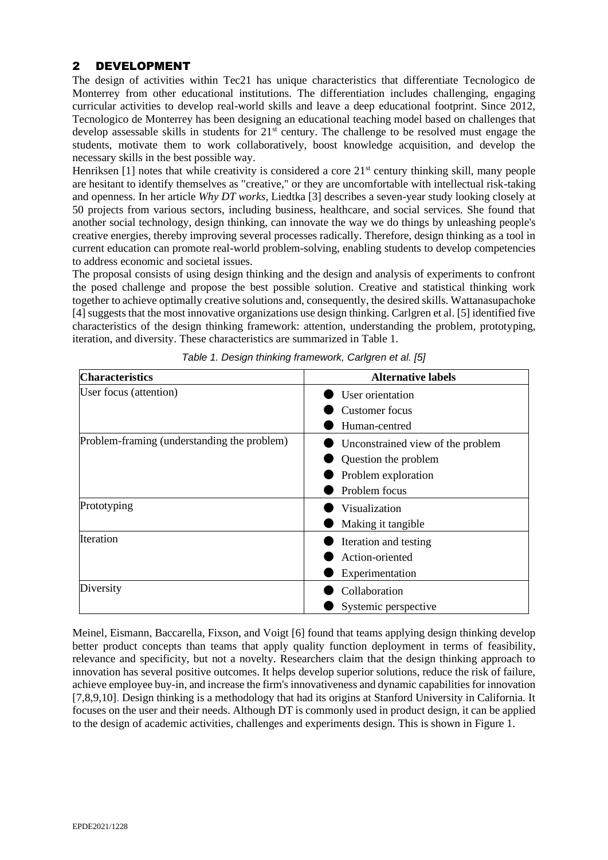## 2 DEVELOPMENT

The design of activities within Tec21 has unique characteristics that differentiate Tecnologico de Monterrey from other educational institutions. The differentiation includes challenging, engaging curricular activities to develop real-world skills and leave a deep educational footprint. Since 2012, Tecnologico de Monterrey has been designing an educational teaching model based on challenges that develop assessable skills in students for 21<sup>st</sup> century. The challenge to be resolved must engage the students, motivate them to work collaboratively, boost knowledge acquisition, and develop the necessary skills in the best possible way.

Henriksen [1] notes that while creativity is considered a core 21<sup>st</sup> century thinking skill, many people are hesitant to identify themselves as "creative," or they are uncomfortable with intellectual risk-taking and openness. In her article *Why DT works,* Liedtka [3] describes a seven-year study looking closely at 50 projects from various sectors, including business, healthcare, and social services. She found that another social technology, design thinking, can innovate the way we do things by unleashing people's creative energies, thereby improving several processes radically. Therefore, design thinking as a tool in current education can promote real-world problem-solving, enabling students to develop competencies to address economic and societal issues.

The proposal consists of using design thinking and the design and analysis of experiments to confront the posed challenge and propose the best possible solution. Creative and statistical thinking work together to achieve optimally creative solutions and, consequently, the desired skills. Wattanasupachoke [4] suggests that the most innovative organizations use design thinking. Carlgren et al. [5] identified five characteristics of the design thinking framework: attention, understanding the problem, prototyping, iteration, and diversity. These characteristics are summarized in Table 1.

| <b>Characteristics</b>                      | <b>Alternative labels</b>         |  |  |  |
|---------------------------------------------|-----------------------------------|--|--|--|
| User focus (attention)                      | User orientation                  |  |  |  |
|                                             | Customer focus                    |  |  |  |
|                                             | Human-centred                     |  |  |  |
| Problem-framing (understanding the problem) | Unconstrained view of the problem |  |  |  |
|                                             | Question the problem              |  |  |  |
|                                             | Problem exploration               |  |  |  |
|                                             | Problem focus                     |  |  |  |
| Prototyping                                 | Visualization                     |  |  |  |
|                                             | Making it tangible                |  |  |  |
| Iteration                                   | Iteration and testing             |  |  |  |
|                                             | Action-oriented                   |  |  |  |
|                                             | Experimentation                   |  |  |  |
| Diversity                                   | Collaboration                     |  |  |  |
|                                             | Systemic perspective              |  |  |  |

*Table 1. Design thinking framework, Carlgren et al. [5]*

Meinel, Eismann, Baccarella, Fixson, and Voigt [6] found that teams applying design thinking develop better product concepts than teams that apply quality function deployment in terms of feasibility, relevance and specificity, but not a novelty. Researchers claim that the design thinking approach to innovation has several positive outcomes. It helps develop superior solutions, reduce the risk of failure, achieve employee buy-in, and increase the firm's innovativeness and dynamic capabilities for innovation [7,8,9,10]. Design thinking is a methodology that had its origins at Stanford University in California. It focuses on the user and their needs. Although DT is commonly used in product design, it can be applied to the design of academic activities, challenges and experiments design. This is shown in Figure 1.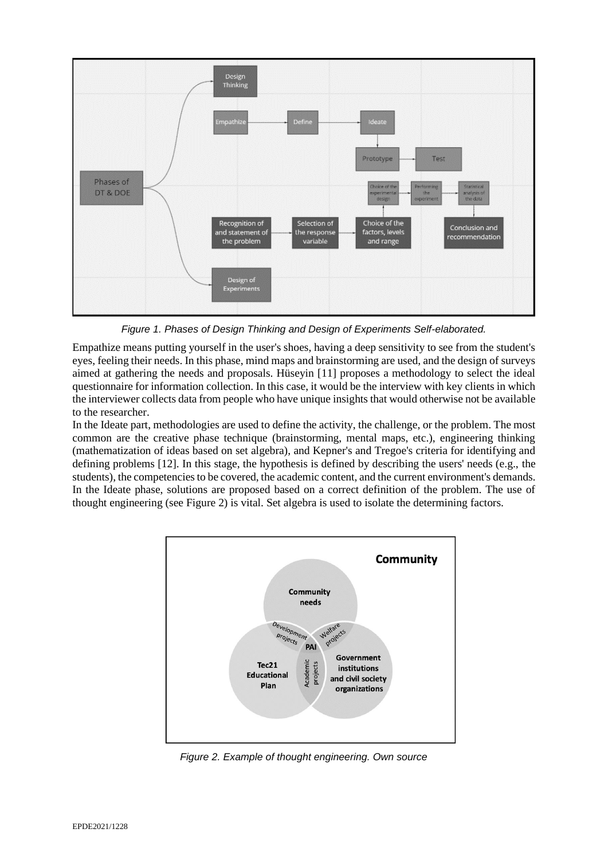

*Figure 1. Phases of Design Thinking and Design of Experiments Self-elaborated.*

Empathize means putting yourself in the user's shoes, having a deep sensitivity to see from the student's eyes, feeling their needs. In this phase, mind maps and brainstorming are used, and the design of surveys aimed at gathering the needs and proposals. Hüseyin [11] proposes a methodology to select the ideal questionnaire for information collection. In this case, it would be the interview with key clients in which the interviewer collects data from people who have unique insights that would otherwise not be available to the researcher.

In the Ideate part, methodologies are used to define the activity, the challenge, or the problem. The most common are the creative phase technique (brainstorming, mental maps, etc.), engineering thinking (mathematization of ideas based on set algebra), and Kepner's and Tregoe's criteria for identifying and defining problems [12]. In this stage, the hypothesis is defined by describing the users' needs (e.g., the students), the competencies to be covered, the academic content, and the current environment's demands. In the Ideate phase, solutions are proposed based on a correct definition of the problem. The use of thought engineering (see Figure 2) is vital. Set algebra is used to isolate the determining factors.



*Figure 2. Example of thought engineering. Own source*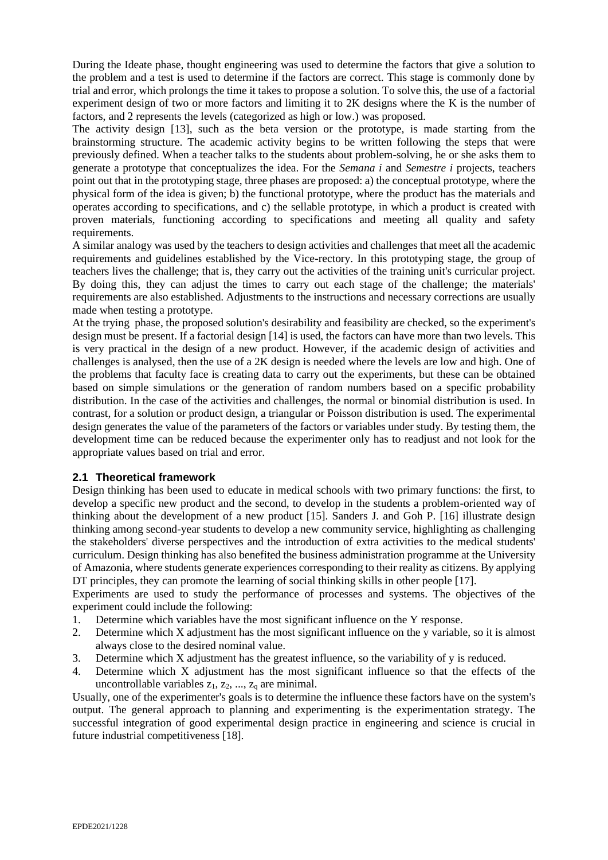During the Ideate phase, thought engineering was used to determine the factors that give a solution to the problem and a test is used to determine if the factors are correct. This stage is commonly done by trial and error, which prolongs the time it takes to propose a solution. To solve this, the use of a factorial experiment design of two or more factors and limiting it to 2K designs where the K is the number of factors, and 2 represents the levels (categorized as high or low.) was proposed.

The activity design [13], such as the beta version or the prototype, is made starting from the brainstorming structure. The academic activity begins to be written following the steps that were previously defined. When a teacher talks to the students about problem-solving, he or she asks them to generate a prototype that conceptualizes the idea. For the *Semana i* and *Semestre i* projects, teachers point out that in the prototyping stage, three phases are proposed: a) the conceptual prototype, where the physical form of the idea is given; b) the functional prototype, where the product has the materials and operates according to specifications, and c) the sellable prototype, in which a product is created with proven materials, functioning according to specifications and meeting all quality and safety requirements.

A similar analogy was used by the teachers to design activities and challenges that meet all the academic requirements and guidelines established by the Vice-rectory. In this prototyping stage, the group of teachers lives the challenge; that is, they carry out the activities of the training unit's curricular project. By doing this, they can adjust the times to carry out each stage of the challenge; the materials' requirements are also established. Adjustments to the instructions and necessary corrections are usually made when testing a prototype.

At the trying phase, the proposed solution's desirability and feasibility are checked, so the experiment's design must be present. If a factorial design [14] is used, the factors can have more than two levels. This is very practical in the design of a new product. However, if the academic design of activities and challenges is analysed, then the use of a 2K design is needed where the levels are low and high. One of the problems that faculty face is creating data to carry out the experiments, but these can be obtained based on simple simulations or the generation of random numbers based on a specific probability distribution. In the case of the activities and challenges, the normal or binomial distribution is used. In contrast, for a solution or product design, a triangular or Poisson distribution is used. The experimental design generates the value of the parameters of the factors or variables under study. By testing them, the development time can be reduced because the experimenter only has to readjust and not look for the appropriate values based on trial and error.

#### **2.1 Theoretical framework**

Design thinking has been used to educate in medical schools with two primary functions: the first, to develop a specific new product and the second, to develop in the students a problem-oriented way of thinking about the development of a new product [15]. Sanders J. and Goh P. [16] illustrate design thinking among second-year students to develop a new community service, highlighting as challenging the stakeholders' diverse perspectives and the introduction of extra activities to the medical students' curriculum. Design thinking has also benefited the business administration programme at the University of Amazonia, where students generate experiences corresponding to their reality as citizens. By applying DT principles, they can promote the learning of social thinking skills in other people [17].

Experiments are used to study the performance of processes and systems. The objectives of the experiment could include the following:

- 1. Determine which variables have the most significant influence on the Y response.
- 2. Determine which X adjustment has the most significant influence on the y variable, so it is almost always close to the desired nominal value.
- 3. Determine which X adjustment has the greatest influence, so the variability of y is reduced.
- 4. Determine which X adjustment has the most significant influence so that the effects of the uncontrollable variables  $z_1, z_2, ..., z_q$  are minimal.

Usually, one of the experimenter's goals is to determine the influence these factors have on the system's output. The general approach to planning and experimenting is the experimentation strategy. The successful integration of good experimental design practice in engineering and science is crucial in future industrial competitiveness [18].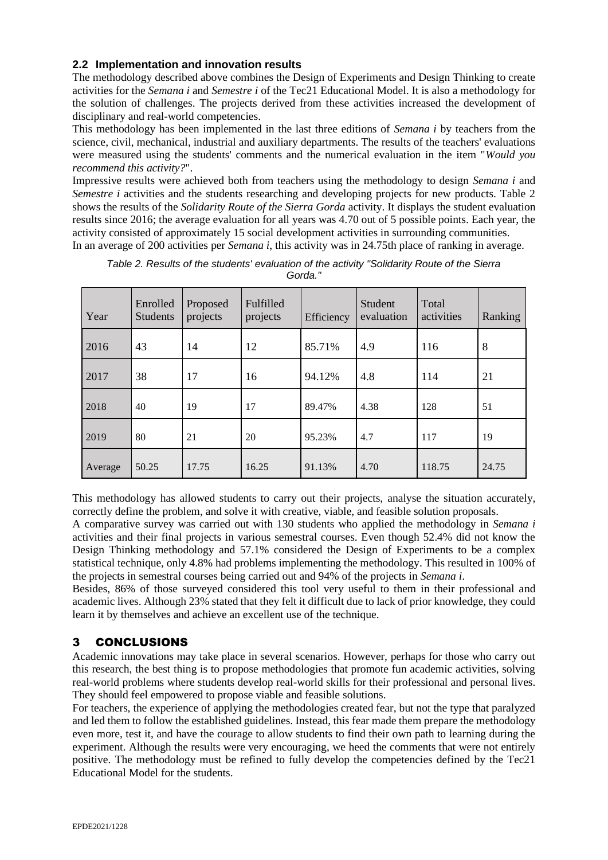### **2.2 Implementation and innovation results**

The methodology described above combines the Design of Experiments and Design Thinking to create activities for the *Semana i* and *Semestre i* of the Tec21 Educational Model. It is also a methodology for the solution of challenges. The projects derived from these activities increased the development of disciplinary and real-world competencies.

This methodology has been implemented in the last three editions of *Semana i* by teachers from the science, civil, mechanical, industrial and auxiliary departments. The results of the teachers' evaluations were measured using the students' comments and the numerical evaluation in the item "*Would you recommend this activity?*".

Impressive results were achieved both from teachers using the methodology to design *Semana i* and *Semestre i* activities and the students researching and developing projects for new products. Table 2 shows the results of the *Solidarity Route of the Sierra Gorda* activity. It displays the student evaluation results since 2016; the average evaluation for all years was 4.70 out of 5 possible points. Each year, the activity consisted of approximately 15 social development activities in surrounding communities. In an average of 200 activities per *Semana i*, this activity was in 24.75th place of ranking in average.

| Year    | Enrolled<br><b>Students</b> | Proposed<br>projects | Fulfilled<br>projects | Efficiency | <b>Student</b><br>evaluation | Total<br>activities | Ranking |
|---------|-----------------------------|----------------------|-----------------------|------------|------------------------------|---------------------|---------|
| 2016    | 43                          | 14                   | 12                    | 85.71%     | 4.9                          | 116                 | 8       |
| 2017    | 38                          | 17                   | 16                    | 94.12%     | 4.8                          | 114                 | 21      |
| 2018    | 40                          | 19                   | 17                    | 89.47%     | 4.38                         | 128                 | 51      |
| 2019    | 80                          | 21                   | 20                    | 95.23%     | 4.7                          | 117                 | 19      |
| Average | 50.25                       | 17.75                | 16.25                 | 91.13%     | 4.70                         | 118.75              | 24.75   |

*Table 2. Results of the students' evaluation of the activity "Solidarity Route of the Sierra Gorda."* 

This methodology has allowed students to carry out their projects, analyse the situation accurately, correctly define the problem, and solve it with creative, viable, and feasible solution proposals.

A comparative survey was carried out with 130 students who applied the methodology in *Semana i* activities and their final projects in various semestral courses. Even though 52.4% did not know the Design Thinking methodology and 57.1% considered the Design of Experiments to be a complex statistical technique, only 4.8% had problems implementing the methodology. This resulted in 100% of the projects in semestral courses being carried out and 94% of the projects in *Semana i*.

Besides, 86% of those surveyed considered this tool very useful to them in their professional and academic lives. Although 23% stated that they felt it difficult due to lack of prior knowledge, they could learn it by themselves and achieve an excellent use of the technique.

## 3 CONCLUSIONS

Academic innovations may take place in several scenarios. However, perhaps for those who carry out this research, the best thing is to propose methodologies that promote fun academic activities, solving real-world problems where students develop real-world skills for their professional and personal lives. They should feel empowered to propose viable and feasible solutions.

For teachers, the experience of applying the methodologies created fear, but not the type that paralyzed and led them to follow the established guidelines. Instead, this fear made them prepare the methodology even more, test it, and have the courage to allow students to find their own path to learning during the experiment. Although the results were very encouraging, we heed the comments that were not entirely positive. The methodology must be refined to fully develop the competencies defined by the Tec21 Educational Model for the students.